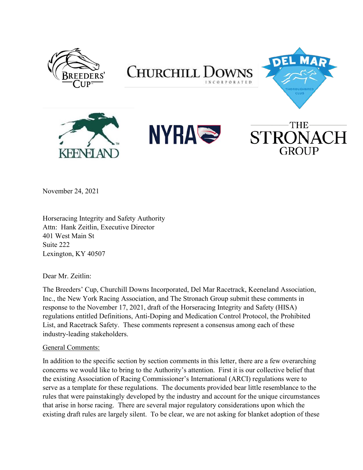

November 24, 2021

Horseracing Integrity and Safety Authority Attn: Hank Zeitlin, Executive Director 401 West Main St Suite 222 Lexington, KY 40507

Dear Mr. Zeitlin:

The Breeders' Cup, Churchill Downs Incorporated, Del Mar Racetrack, Keeneland Association, Inc., the New York Racing Association, and The Stronach Group submit these comments in response to the November 17, 2021, draft of the Horseracing Integrity and Safety (HISA) regulations entitled Definitions, Anti-Doping and Medication Control Protocol, the Prohibited List, and Racetrack Safety. These comments represent a consensus among each of these industry-leading stakeholders.

#### General Comments:

In addition to the specific section by section comments in this letter, there are a few overarching concerns we would like to bring to the Authority's attention. First it is our collective belief that the existing Association of Racing Commissioner's International (ARCI) regulations were to serve as a template for these regulations. The documents provided bear little resemblance to the rules that were painstakingly developed by the industry and account for the unique circumstances that arise in horse racing. There are several major regulatory considerations upon which the existing draft rules are largely silent. To be clear, we are not asking for blanket adoption of these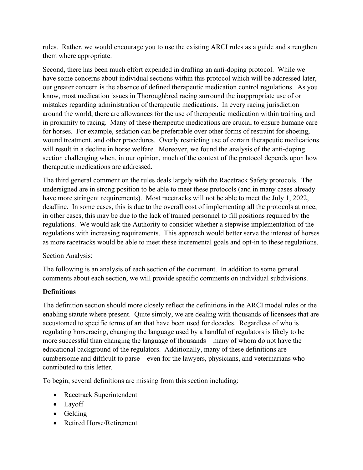rules. Rather, we would encourage you to use the existing ARCI rules as a guide and strengthen them where appropriate.

Second, there has been much effort expended in drafting an anti-doping protocol. While we have some concerns about individual sections within this protocol which will be addressed later, our greater concern is the absence of defined therapeutic medication control regulations. As you know, most medication issues in Thoroughbred racing surround the inappropriate use of or mistakes regarding administration of therapeutic medications. In every racing jurisdiction around the world, there are allowances for the use of therapeutic medication within training and in proximity to racing. Many of these therapeutic medications are crucial to ensure humane care for horses. For example, sedation can be preferrable over other forms of restraint for shoeing, wound treatment, and other procedures. Overly restricting use of certain therapeutic medications will result in a decline in horse welfare. Moreover, we found the analysis of the anti-doping section challenging when, in our opinion, much of the context of the protocol depends upon how therapeutic medications are addressed.

The third general comment on the rules deals largely with the Racetrack Safety protocols. The undersigned are in strong position to be able to meet these protocols (and in many cases already have more stringent requirements). Most racetracks will not be able to meet the July 1, 2022, deadline. In some cases, this is due to the overall cost of implementing all the protocols at once, in other cases, this may be due to the lack of trained personnel to fill positions required by the regulations. We would ask the Authority to consider whether a stepwise implementation of the regulations with increasing requirements. This approach would better serve the interest of horses as more racetracks would be able to meet these incremental goals and opt-in to these regulations.

#### Section Analysis:

The following is an analysis of each section of the document. In addition to some general comments about each section, we will provide specific comments on individual subdivisions.

## **Definitions**

The definition section should more closely reflect the definitions in the ARCI model rules or the enabling statute where present. Quite simply, we are dealing with thousands of licensees that are accustomed to specific terms of art that have been used for decades. Regardless of who is regulating horseracing, changing the language used by a handful of regulators is likely to be more successful than changing the language of thousands – many of whom do not have the educational background of the regulators. Additionally, many of these definitions are cumbersome and difficult to parse – even for the lawyers, physicians, and veterinarians who contributed to this letter.

To begin, several definitions are missing from this section including:

- Racetrack Superintendent
- $\bullet$  Layoff
- $\bullet$  Gelding
- Retired Horse/Retirement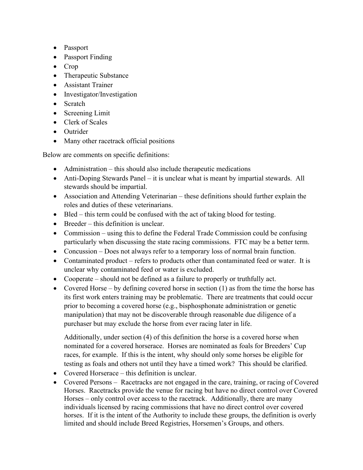- Passport
- Passport Finding
- $\bullet$  Crop
- Therapeutic Substance
- Assistant Trainer
- Investigator/Investigation
- $\bullet$  Scratch
- $\bullet$  Screening Limit
- $\bullet$  Clerk of Scales
- $\bullet$  Outrider
- Many other racetrack official positions

Below are comments on specific definitions:

- $\bullet$  Administration this should also include therapeutic medications
- Anti-Doping Stewards Panel  $-$  it is unclear what is meant by impartial stewards. All stewards should be impartial.
- $\bullet$  Association and Attending Veterinarian these definitions should further explain the roles and duties of these veterinarians.
- $\bullet$  Bled this term could be confused with the act of taking blood for testing.
- $\bullet$  Breeder this definition is unclear.
- Commission  $-\psi$  using this to define the Federal Trade Commission could be confusing particularly when discussing the state racing commissions. FTC may be a better term.
- Concussion  $-$  Does not always refer to a temporary loss of normal brain function.
- Contaminated product  $-$  refers to products other than contaminated feed or water. It is unclear why contaminated feed or water is excluded.
- Cooperate  $-$  should not be defined as a failure to properly or truthfully act.
- Covered Horse  $-$  by defining covered horse in section (1) as from the time the horse has its first work enters training may be problematic. There are treatments that could occur prior to becoming a covered horse (e.g., bisphosphonate administration or genetic manipulation) that may not be discoverable through reasonable due diligence of a purchaser but may exclude the horse from ever racing later in life.

Additionally, under section (4) of this definition the horse is a covered horse when nominated for a covered horserace. Horses are nominated as foals for Breeders' Cup races, for example. If this is the intent, why should only some horses be eligible for testing as foals and others not until they have a timed work? This should be clarified.

- Covered Horserace  $-$  this definition is unclear.
- Covered Persons Racetracks are not engaged in the care, training, or racing of Covered Horses. Racetracks provide the venue for racing but have no direct control over Covered Horses – only control over access to the racetrack. Additionally, there are many individuals licensed by racing commissions that have no direct control over covered horses. If it is the intent of the Authority to include these groups, the definition is overly limited and should include Breed Registries, Horsemen's Groups, and others.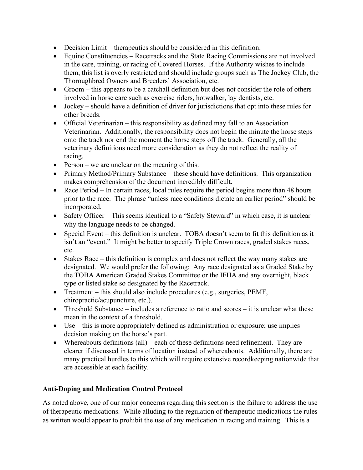- $\bullet$  Decision Limit therapeutics should be considered in this definition.
- $\bullet$  Equine Constituencies Racetracks and the State Racing Commissions are not involved in the care, training, or racing of Covered Horses. If the Authority wishes to include them, this list is overly restricted and should include groups such as The Jockey Club, the Thoroughbred Owners and Breeders' Association, etc.
- $\bullet$  Groom this appears to be a catchall definition but does not consider the role of others involved in horse care such as exercise riders, hotwalker, lay dentists, etc.
- $\bullet$  Jockey should have a definition of driver for jurisdictions that opt into these rules for other breeds.
- Official Veterinarian  $-$  this responsibility as defined may fall to an Association Veterinarian. Additionally, the responsibility does not begin the minute the horse steps onto the track nor end the moment the horse steps off the track. Generally, all the veterinary definitions need more consideration as they do not reflect the reality of racing.
- Person  $-$  we are unclear on the meaning of this.
- Primary Method/Primary Substance  $-$  these should have definitions. This organization makes comprehension of the document incredibly difficult.
- $\bullet$  Race Period  $\overline{-}$  In certain races, local rules require the period begins more than 48 hours prior to the race. The phrase "unless race conditions dictate an earlier period" should be incorporated.
- Safety Officer This seems identical to a "Safety Steward" in which case, it is unclear why the language needs to be changed.
- Special Event  $-$  this definition is unclear. TOBA doesn't seem to fit this definition as it isn't an "event." It might be better to specify Triple Crown races, graded stakes races, etc.
- $\bullet$  Stakes Race this definition is complex and does not reflect the way many stakes are designated. We would prefer the following: Any race designated as a Graded Stake by the TOBA American Graded Stakes Committee or the IFHA and any overnight, black type or listed stake so designated by the Racetrack.
- Treatment  $-$  this should also include procedures (e.g., surgeries, PEMF, chiropractic/acupuncture, etc.).
- Threshold Substance  $-\text{includes a reference to ratio and scores} \text{it is unclear what these}$ mean in the context of a threshold.
- $\bullet$  Use  $-$  this is more appropriately defined as administration or exposure; use implies decision making on the horse's part.
- Whereabouts definitions (all)  $-$  each of these definitions need refinement. They are clearer if discussed in terms of location instead of whereabouts. Additionally, there are many practical hurdles to this which will require extensive recordkeeping nationwide that are accessible at each facility.

## **Anti-Doping and Medication Control Protocol**

As noted above, one of our major concerns regarding this section is the failure to address the use of therapeutic medications. While alluding to the regulation of therapeutic medications the rules as written would appear to prohibit the use of any medication in racing and training. This is a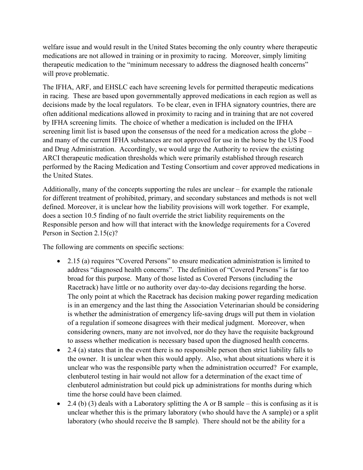welfare issue and would result in the United States becoming the only country where therapeutic medications are not allowed in training or in proximity to racing. Moreover, simply limiting therapeutic medication to the "minimum necessary to address the diagnosed health concerns" will prove problematic.

The IFHA, ARF, and EHSLC each have screening levels for permitted therapeutic medications in racing. These are based upon governmentally approved medications in each region as well as decisions made by the local regulators. To be clear, even in IFHA signatory countries, there are often additional medications allowed in proximity to racing and in training that are not covered by IFHA screening limits. The choice of whether a medication is included on the IFHA screening limit list is based upon the consensus of the need for a medication across the globe  $-\frac{1}{2}$ and many of the current IFHA substances are not approved for use in the horse by the US Food and Drug Administration. Accordingly, we would urge the Authority to review the existing ARCI therapeutic medication thresholds which were primarily established through research performed by the Racing Medication and Testing Consortium and cover approved medications in the United States.

Additionally, many of the concepts supporting the rules are unclear  $-$  for example the rationale for different treatment of prohibited, primary, and secondary substances and methods is not well defined. Moreover, it is unclear how the liability provisions will work together. For example, does a section 10.5 finding of no fault override the strict liability requirements on the Responsible person and how will that interact with the knowledge requirements for a Covered Person in Section 2.15(c)?

The following are comments on specific sections:

- 2.15 (a) requires "Covered Persons" to ensure medication administration is limited to address "diagnosed health concerns". The definition of "Covered Persons" is far too broad for this purpose. Many of those listed as Covered Persons (including the Racetrack) have little or no authority over day-to-day decisions regarding the horse. The only point at which the Racetrack has decision making power regarding medication is in an emergency and the last thing the Association Veterinarian should be considering is whether the administration of emergency life-saving drugs will put them in violation of a regulation if someone disagrees with their medical judgment. Moreover, when considering owners, many are not involved, nor do they have the requisite background to assess whether medication is necessary based upon the diagnosed health concerns.
- $\bullet$  2.4 (a) states that in the event there is no responsible person then strict liability falls to the owner. It is unclear when this would apply. Also, what about situations where it is unclear who was the responsible party when the administration occurred? For example, clenbuterol testing in hair would not allow for a determination of the exact time of clenbuterol administration but could pick up administrations for months during which time the horse could have been claimed.
- 2.4 (b) (3) deals with a Laboratory splitting the A or B sample this is confusing as it is unclear whether this is the primary laboratory (who should have the A sample) or a split laboratory (who should receive the B sample). There should not be the ability for a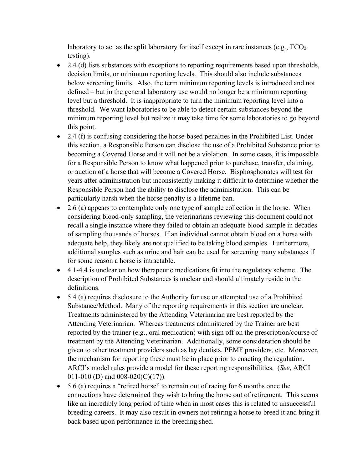laboratory to act as the split laboratory for itself except in rare instances (e.g.,  $TCO<sub>2</sub>$ ) testing).

- $\bullet$  2.4 (d) lists substances with exceptions to reporting requirements based upon thresholds, decision limits, or minimum reporting levels. This should also include substances below screening limits. Also, the term minimum reporting levels is introduced and not defined – but in the general laboratory use would no longer be a minimum reporting level but a threshold. It is inappropriate to turn the minimum reporting level into a threshold. We want laboratories to be able to detect certain substances beyond the minimum reporting level but realize it may take time for some laboratories to go beyond this point.
- 2.4 (f) is confusing considering the horse-based penalties in the Prohibited List. Under this section, a Responsible Person can disclose the use of a Prohibited Substance prior to becoming a Covered Horse and it will not be a violation. In some cases, it is impossible for a Responsible Person to know what happened prior to purchase, transfer, claiming, or auction of a horse that will become a Covered Horse. Bisphosphonates will test for years after administration but inconsistently making it difficult to determine whether the Responsible Person had the ability to disclose the administration. This can be particularly harsh when the horse penalty is a lifetime ban.
- $\bullet$  2.6 (a) appears to contemplate only one type of sample collection in the horse. When considering blood-only sampling, the veterinarians reviewing this document could not recall a single instance where they failed to obtain an adequate blood sample in decades of sampling thousands of horses. If an individual cannot obtain blood on a horse with adequate help, they likely are not qualified to be taking blood samples. Furthermore, additional samples such as urine and hair can be used for screening many substances if for some reason a horse is intractable.
- x 4.1-4.4 is unclear on how therapeutic medications fit into the regulatory scheme. The description of Prohibited Substances is unclear and should ultimately reside in the definitions.
- $\bullet$  5.4 (a) requires disclosure to the Authority for use or attempted use of a Prohibited Substance/Method. Many of the reporting requirements in this section are unclear. Treatments administered by the Attending Veterinarian are best reported by the Attending Veterinarian. Whereas treatments administered by the Trainer are best reported by the trainer (e.g., oral medication) with sign off on the prescription/course of treatment by the Attending Veterinarian. Additionally, some consideration should be given to other treatment providers such as lay dentists, PEMF providers, etc. Moreover, the mechanism for reporting these must be in place prior to enacting the regulation. ARCI's model rules provide a model for these reporting responsibilities. (*See*, ARCI 011-010 (D) and  $008-020(C)(17)$ ).
- $\bullet$  5.6 (a) requires a "retired horse" to remain out of racing for 6 months once the connections have determined they wish to bring the horse out of retirement. This seems like an incredibly long period of time when in most cases this is related to unsuccessful breeding careers. It may also result in owners not retiring a horse to breed it and bring it back based upon performance in the breeding shed.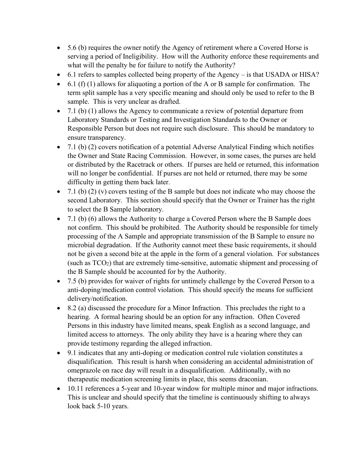- $\bullet$  5.6 (b) requires the owner notify the Agency of retirement where a Covered Horse is serving a period of Ineligibility. How will the Authority enforce these requirements and what will the penalty be for failure to notify the Authority?
- 6.1 refers to samples collected being property of the Agency  $-$  is that USADA or HISA?
- $\bullet$  6.1 (f) (1) allows for aliquoting a portion of the A or B sample for confirmation. The term split sample has a very specific meaning and should only be used to refer to the B sample. This is very unclear as drafted.
- $\bullet$  7.1 (b) (1) allows the Agency to communicate a review of potential departure from Laboratory Standards or Testing and Investigation Standards to the Owner or Responsible Person but does not require such disclosure. This should be mandatory to ensure transparency.
- $\bullet$  7.1 (b) (2) covers notification of a potential Adverse Analytical Finding which notifies the Owner and State Racing Commission. However, in some cases, the purses are held or distributed by the Racetrack or others. If purses are held or returned, this information will no longer be confidential. If purses are not held or returned, there may be some difficulty in getting them back later.
- $\bullet$  7.1 (b) (2) (v) covers testing of the B sample but does not indicate who may choose the second Laboratory. This section should specify that the Owner or Trainer has the right to select the B Sample laboratory.
- $\bullet$  7.1 (b) (6) allows the Authority to charge a Covered Person where the B Sample does not confirm. This should be prohibited. The Authority should be responsible for timely processing of the A Sample and appropriate transmission of the B Sample to ensure no microbial degradation. If the Authority cannot meet these basic requirements, it should not be given a second bite at the apple in the form of a general violation. For substances (such as  $TCO<sub>2</sub>$ ) that are extremely time-sensitive, automatic shipment and processing of the B Sample should be accounted for by the Authority.
- $\bullet$  7.5 (b) provides for waiver of rights for untimely challenge by the Covered Person to a anti-doping/medication control violation. This should specify the means for sufficient delivery/notification.
- $\bullet$  8.2 (a) discussed the procedure for a Minor Infraction. This precludes the right to a hearing. A formal hearing should be an option for any infraction. Often Covered Persons in this industry have limited means, speak English as a second language, and limited access to attorneys. The only ability they have is a hearing where they can provide testimony regarding the alleged infraction.
- 9.1 indicates that any anti-doping or medication control rule violation constitutes a disqualification. This result is harsh when considering an accidental administration of omeprazole on race day will result in a disqualification. Additionally, with no therapeutic medication screening limits in place, this seems draconian.
- 10.11 references a 5-year and 10-year window for multiple minor and major infractions. This is unclear and should specify that the timeline is continuously shifting to always look back 5-10 years.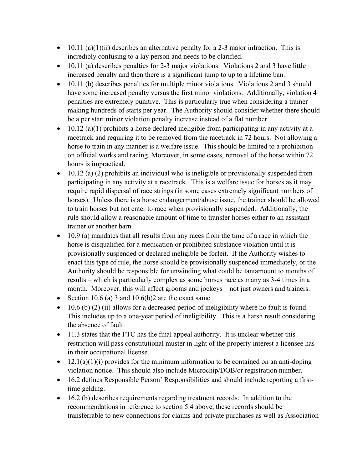- $\bullet$  10.11 (a)(1)(ii) describes an alternative penalty for a 2-3 major infraction. This is incredibly confusing to a lay person and needs to be clarified.
- $\bullet$  10.11 (a) describes penalties for 2-3 major violations. Violations 2 and 3 have little increased penalty and then there is a significant jump to up to a lifetime ban.
- $\bullet$  10.11 (b) describes penalties for multiple minor violations. Violations 2 and 3 should have some increased penalty versus the first minor violations. Additionally, violation 4 penalties are extremely punitive. This is particularly true when considering a trainer making hundreds of starts per year. The Authority should consider whether there should be a per start minor violation penalty increase instead of a flat number.
- $\bullet$  10.12 (a)(1) prohibits a horse declared ineligible from participating in any activity at a racetrack and requiring it to be removed from the racetrack in 72 hours. Not allowing a horse to train in any manner is a welfare issue. This should be limited to a prohibition on official works and racing. Moreover, in some cases, removal of the horse within 72 hours is impractical.
- $\bullet$  10.12 (a) (2) prohibits an individual who is ineligible or provisionally suspended from participating in any activity at a racetrack. This is a welfare issue for horses as it may require rapid dispersal of race strings (in some cases extremely significant numbers of horses). Unless there is a horse endangerment/abuse issue, the trainer should be allowed to train horses but not enter to race when provisionally suspended. Additionally, the rule should allow a reasonable amount of time to transfer horses either to an assistant trainer or another barn.
- $\bullet$  10.9 (a) mandates that all results from any races from the time of a race in which the horse is disqualified for a medication or prohibited substance violation until it is provisionally suspended or declared ineligible be forfeit. If the Authority wishes to enact this type of rule, the horse should be provisionally suspended immediately, or the Authority should be responsible for unwinding what could be tantamount to months of results – which is particularly complex as some horses race as many as 3-4 times in a month. Moreover, this will affect grooms and jockeys – not just owners and trainers.
- Exection 10.6 (a) 3 and 10.6(b)2 are the exact same
- x 10.6 (b) (2) (ii) allows for a decreased period of ineligibility where no fault is found. This includes up to a one-year period of ineligibility. This is a harsh result considering the absence of fault.
- $\bullet$  11.3 states that the FTC has the final appeal authority. It is unclear whether this restriction will pass constitutional muster in light of the property interest a licensee has in their occupational license.
- $\bullet$  12.1(a)(1)(i) provides for the minimum information to be contained on an anti-doping violation notice. This should also include Microchip/DOB/or registration number.
- $\bullet$  16.2 defines Responsible Person' Responsibilities and should include reporting a firsttime gelding.
- $\bullet$  16.2 (b) describes requirements regarding treatment records. In addition to the recommendations in reference to section 5.4 above, these records should be transferrable to new connections for claims and private purchases as well as Association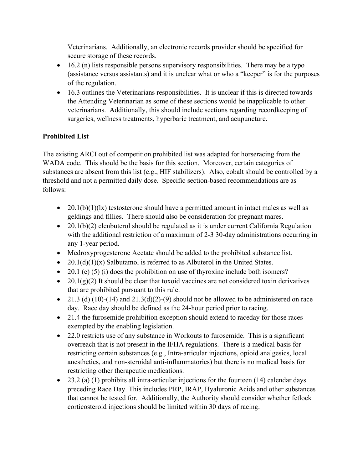Veterinarians. Additionally, an electronic records provider should be specified for secure storage of these records.

- $\bullet$  16.2 (n) lists responsible persons supervisory responsibilities. There may be a typo (assistance versus assistants) and it is unclear what or who a "keeper" is for the purposes of the regulation.
- $\bullet$  16.3 outlines the Veterinarians responsibilities. It is unclear if this is directed towards the Attending Veterinarian as some of these sections would be inapplicable to other veterinarians. Additionally, this should include sections regarding recordkeeping of surgeries, wellness treatments, hyperbaric treatment, and acupuncture.

# **Prohibited List**

The existing ARCI out of competition prohibited list was adapted for horseracing from the WADA code. This should be the basis for this section. Moreover, certain categories of substances are absent from this list (e.g., HIF stabilizers). Also, cobalt should be controlled by a threshold and not a permitted daily dose. Specific section-based recommendations are as follows:

- 20.1(b)(1)(lx) testosterone should have a permitted amount in intact males as well as geldings and fillies. There should also be consideration for pregnant mares.
- 20.1(b)(2) clenbuterol should be regulated as it is under current California Regulation with the additional restriction of a maximum of 2-3 30-day administrations occurring in any 1-year period.
- Medroxyprogesterone Acetate should be added to the prohibited substance list.
- 20.1(d)(1)(x) Salbutamol is referred to as Albuterol in the United States.
- $\bullet$  20.1 (e) (5) (i) does the prohibition on use of thyroxine include both isomers?
- $\bullet$  20.1(g)(2) It should be clear that toxoid vaccines are not considered toxin derivatives that are prohibited pursuant to this rule.
- 21.3 (d) (10)-(14) and  $21.3(d)(2)$ -(9) should not be allowed to be administered on race day. Race day should be defined as the 24-hour period prior to racing.
- $\bullet$  21.4 the furosemide prohibition exception should extend to raceday for those races exempted by the enabling legislation.
- $\bullet$  22.0 restricts use of any substance in Workouts to furosemide. This is a significant overreach that is not present in the IFHA regulations. There is a medical basis for restricting certain substances (e.g., Intra-articular injections, opioid analgesics, local anesthetics, and non-steroidal anti-inflammatories) but there is no medical basis for restricting other therapeutic medications.
- $\bullet$  23.2 (a) (1) prohibits all intra-articular injections for the fourteen (14) calendar days preceding Race Day. This includes PRP, IRAP, Hyaluronic Acids and other substances that cannot be tested for. Additionally, the Authority should consider whether fetlock corticosteroid injections should be limited within 30 days of racing.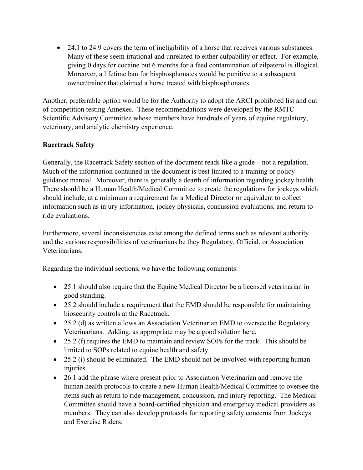• 24.1 to 24.9 covers the term of ineligibility of a horse that receives various substances. Many of these seem irrational and unrelated to either culpability or effect. For example, giving 0 days for cocaine but 6 months for a feed contamination of zilpaterol is illogical. Moreover, a lifetime ban for bisphosphonates would be punitive to a subsequent owner/trainer that claimed a horse treated with bisphosphonates.

Another, preferrable option would be for the Authority to adopt the ARCI prohibited list and out of competition testing Annexes. These recommendations were developed by the RMTC Scientific Advisory Committee whose members have hundreds of years of equine regulatory, veterinary, and analytic chemistry experience.

#### **Racetrack Safety**

Generally, the Racetrack Safety section of the document reads like a guide  $-$  not a regulation. Much of the information contained in the document is best limited to a training or policy guidance manual. Moreover, there is generally a dearth of information regarding jockey health. There should be a Human Health/Medical Committee to create the regulations for jockeys which should include, at a minimum a requirement for a Medical Director or equivalent to collect information such as injury information, jockey physicals, concussion evaluations, and return to ride evaluations.

Furthermore, several inconsistencies exist among the defined terms such as relevant authority and the various responsibilities of veterinarians be they Regulatory, Official, or Association Veterinarians.

Regarding the individual sections, we have the following comments:

- 25.1 should also require that the Equine Medical Director be a licensed veterinarian in good standing.
- 25.2 should include a requirement that the EMD should be responsible for maintaining biosecurity controls at the Racetrack.
- $\bullet$  25.2 (d) as written allows an Association Veterinarian EMD to oversee the Regulatory Veterinarians. Adding, as appropriate may be a good solution here.
- $\bullet$  25.2 (f) requires the EMD to maintain and review SOPs for the track. This should be limited to SOPs related to equine health and safety.
- $\bullet$  25.2 (i) should be eliminated. The EMD should not be involved with reporting human injuries.
- 26.1 add the phrase where present prior to Association Veterinarian and remove the human health protocols to create a new Human Health/Medical Committee to oversee the items such as return to ride management, concussion, and injury reporting. The Medical Committee should have a board-certified physician and emergency medical providers as members. They can also develop protocols for reporting safety concerns from Jockeys and Exercise Riders.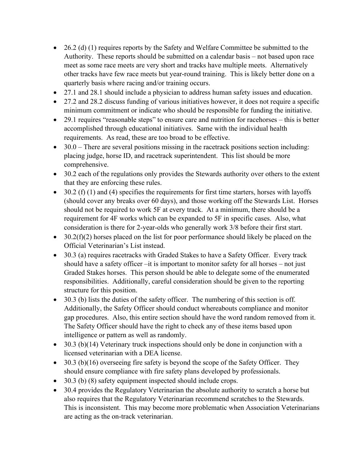- $\bullet$  26.2 (d) (1) requires reports by the Safety and Welfare Committee be submitted to the Authority. These reports should be submitted on a calendar basis – not based upon race meet as some race meets are very short and tracks have multiple meets. Alternatively other tracks have few race meets but year-round training. This is likely better done on a quarterly basis where racing and/or training occurs.
- 27.1 and 28.1 should include a physician to address human safety issues and education.
- 27.2 and 28.2 discuss funding of various initiatives however, it does not require a specific minimum commitment or indicate who should be responsible for funding the initiative.
- $\bullet$  29.1 requires "reasonable steps" to ensure care and nutrition for racehorses this is better accomplished through educational initiatives. Same with the individual health requirements. As read, these are too broad to be effective.
- $\bullet$  30.0 There are several positions missing in the racetrack positions section including: placing judge, horse ID, and racetrack superintendent. This list should be more comprehensive.
- 30.2 each of the regulations only provides the Stewards authority over others to the extent that they are enforcing these rules.
- $\bullet$  30.2 (f) (1) and (4) specifies the requirements for first time starters, horses with layoffs (should cover any breaks over 60 days), and those working off the Stewards List. Horses should not be required to work 5F at every track. At a minimum, there should be a requirement for 4F works which can be expanded to 5F in specific cases. Also, what consideration is there for 2-year-olds who generally work 3/8 before their first start.
- $\bullet$  30.2(f)(2) horses placed on the list for poor performance should likely be placed on the Official Veterinarian's List instead.
- 30.3 (a) requires racetracks with Graded Stakes to have a Safety Officer. Every track should have a safety officer  $-it$  is important to monitor safety for all horses  $-$  not just Graded Stakes horses. This person should be able to delegate some of the enumerated responsibilities. Additionally, careful consideration should be given to the reporting structure for this position.
- $\bullet$  30.3 (b) lists the duties of the safety officer. The numbering of this section is off. Additionally, the Safety Officer should conduct whereabouts compliance and monitor gap procedures. Also, this entire section should have the word random removed from it. The Safety Officer should have the right to check any of these items based upon intelligence or pattern as well as randomly.
- $\bullet$  30.3 (b)(14) Veterinary truck inspections should only be done in conjunction with a licensed veterinarian with a DEA license.
- $\bullet$  30.3 (b)(16) overseeing fire safety is beyond the scope of the Safety Officer. They should ensure compliance with fire safety plans developed by professionals.
- $\bullet$  30.3 (b) (8) safety equipment inspected should include crops.
- 30.4 provides the Regulatory Veterinarian the absolute authority to scratch a horse but also requires that the Regulatory Veterinarian recommend scratches to the Stewards. This is inconsistent. This may become more problematic when Association Veterinarians are acting as the on-track veterinarian.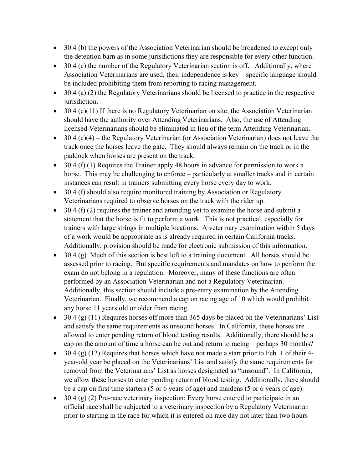- $\bullet$  30.4 (b) the powers of the Association Veterinarian should be broadened to except only the detention barn as in some jurisdictions they are responsible for every other function.
- $\bullet$  30.4 (c) the number of the Regulatory Veterinarian section is off. Additionally, where Association Veterinarians are used, their independence is  $key - specific$  language should be included prohibiting them from reporting to racing management.
- $\bullet$  30.4 (a) (2) the Regulatory Veterinarians should be licensed to practice in the respective jurisdiction.
- $\bullet$  30.4 (c)(11) If there is no Regulatory Veterinarian on site, the Association Veterinarian should have the authority over Attending Veterinarians. Also, the use of Attending licensed Veterinarians should be eliminated in lieu of the term Attending Veterinarian.
- $\bullet$  30.4 (c)(4) the Regulatory Veterinarian (or Association Veterinarian) does not leave the track once the horses leave the gate. They should always remain on the track or in the paddock when horses are present on the track.
- $\bullet$  30.4 (f) (1) Requires the Trainer apply 48 hours in advance for permission to work a horse. This may be challenging to enforce – particularly at smaller tracks and in certain instances can result in trainers submitting every horse every day to work.
- $\bullet$  30.4 (f) should also require monitored training by Association or Regulatory Veterinarians required to observe horses on the track with the rider up.
- $\bullet$  30.4 (f) (2) requires the trainer and attending vet to examine the horse and submit a statement that the horse is fit to perform a work. This is not practical, especially for trainers with large strings in multiple locations. A veterinary examination within 5 days of a work would be appropriate as is already required in certain California tracks. Additionally, provision should be made for electronic submission of this information.
- $\bullet$  30.4 (g) Much of this section is best left to a training document. All horses should be assessed prior to racing. But specific requirements and mandates on how to perform the exam do not belong in a regulation. Moreover, many of these functions are often performed by an Association Veterinarian and not a Regulatory Veterinarian. Additionally, this section should include a pre-entry examination by the Attending Veterinarian. Finally, we recommend a cap on racing age of 10 which would prohibit any horse 11 years old or older from racing.
- $\bullet$  30.4 (g) (11) Requires horses off more than 365 days be placed on the Veterinarians' List and satisfy the same requirements as unsound horses. In California, these horses are allowed to enter pending return of blood testing results. Additionally, there should be a cap on the amount of time a horse can be out and return to racing  $-$  perhaps 30 months?
- $\bullet$  30.4 (g) (12) Requires that horses which have not made a start prior to Feb. 1 of their 4year-old year be placed on the Veterinarians' List and satisfy the same requirements for removal from the Veterinarians' List as horses designated as "unsound". In California, we allow these horses to enter pending return of blood testing. Additionally, there should be a cap on first time starters (5 or 6 years of age) and maidens (5 or 6 years of age).
- $\bullet$  30.4 (g) (2) Pre-race veterinary inspection: Every horse entered to participate in an official race shall be subjected to a veterinary inspection by a Regulatory Veterinarian prior to starting in the race for which it is entered on race day not later than two hours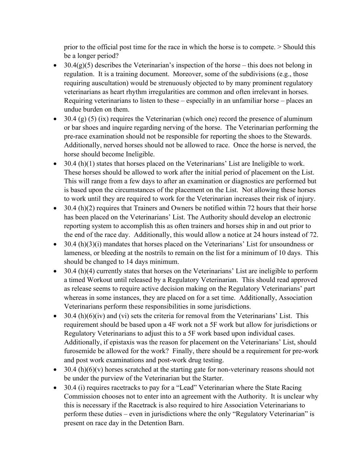prior to the official post time for the race in which the horse is to compete. > Should this be a longer period?

- 30.4(g)(5) describes the Veterinarian's inspection of the horse this does not belong in regulation. It is a training document. Moreover, some of the subdivisions (e.g., those requiring auscultation) would be strenuously objected to by many prominent regulatory veterinarians as heart rhythm irregularities are common and often irrelevant in horses. Requiring veterinarians to listen to these  $-$  especially in an unfamiliar horse  $-$  places an undue burden on them.
- $\bullet$  30.4 (g) (5) (ix) requires the Veterinarian (which one) record the presence of aluminum or bar shoes and inquire regarding nerving of the horse. The Veterinarian performing the pre-race examination should not be responsible for reporting the shoes to the Stewards. Additionally, nerved horses should not be allowed to race. Once the horse is nerved, the horse should become Ineligible.
- $\bullet$  30.4 (h)(1) states that horses placed on the Veterinarians' List are Ineligible to work. These horses should be allowed to work after the initial period of placement on the List. This will range from a few days to after an examination or diagnostics are performed but is based upon the circumstances of the placement on the List. Not allowing these horses to work until they are required to work for the Veterinarian increases their risk of injury.
- $\bullet$  30.4 (h)(2) requires that Trainers and Owners be notified within 72 hours that their horse has been placed on the Veterinarians' List. The Authority should develop an electronic reporting system to accomplish this as often trainers and horses ship in and out prior to the end of the race day. Additionally, this would allow a notice at 24 hours instead of 72.
- $\bullet$  30.4 (h)(3)(i) mandates that horses placed on the Veterinarians' List for unsoundness or lameness, or bleeding at the nostrils to remain on the list for a minimum of 10 days. This should be changed to 14 days minimum.
- $\bullet$  30.4 (h)(4) currently states that horses on the Veterinarians' List are ineligible to perform a timed Workout until released by a Regulatory Veterinarian. This should read approved as release seems to require active decision making on the Regulatory Veterinarians' part whereas in some instances, they are placed on for a set time. Additionally, Association Veterinarians perform these responsibilities in some jurisdictions.
- $\bullet$  30.4 (h)(6)(iv) and (vi) sets the criteria for removal from the Veterinarians' List. This requirement should be based upon a 4F work not a 5F work but allow for jurisdictions or Regulatory Veterinarians to adjust this to a 5F work based upon individual cases. Additionally, if epistaxis was the reason for placement on the Veterinarians' List, should furosemide be allowed for the work? Finally, there should be a requirement for pre-work and post work examinations and post-work drug testing.
- $\bullet$  30.4 (h)(6)(v) horses scratched at the starting gate for non-veterinary reasons should not be under the purview of the Veterinarian but the Starter.
- $\bullet$  30.4 (i) requires racetracks to pay for a "Lead" Veterinarian where the State Racing Commission chooses not to enter into an agreement with the Authority. It is unclear why this is necessary if the Racetrack is also required to hire Association Veterinarians to perform these duties – even in jurisdictions where the only "Regulatory Veterinarian" is present on race day in the Detention Barn.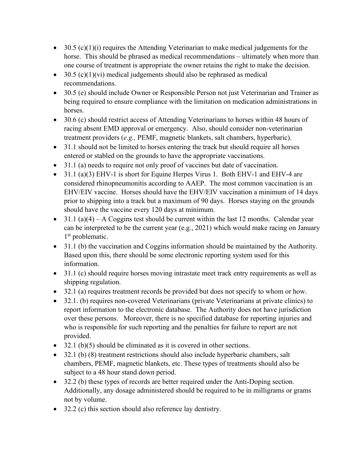- $\bullet$  30.5 (c)(1)(i) requires the Attending Veterinarian to make medical judgements for the horse. This should be phrased as medical recommendations – ultimately when more than one course of treatment is appropriate the owner retains the right to make the decision.
- $\bullet$  30.5 (c)(1)(vi) medical judgements should also be rephrased as medical recommendations.
- 30.5 (e) should include Owner or Responsible Person not just Veterinarian and Trainer as being required to ensure compliance with the limitation on medication administrations in horses.
- $\bullet$  30.6 (c) should restrict access of Attending Veterinarians to horses within 48 hours of racing absent EMD approval or emergency. Also, should consider non-veterinarian treatment providers (*e.g.,* PEMF, magnetic blankets, salt chambers, hyperbaric).
- 31.1 should not be limited to horses entering the track but should require all horses entered or stabled on the grounds to have the appropriate vaccinations.
- 31.1 (a) needs to require not only proof of vaccines but date of vaccination.
- $\bullet$  31.1 (a)(3) EHV-1 is short for Equine Herpes Virus 1. Both EHV-1 and EHV-4 are considered rhinopneumonitis according to AAEP. The most common vaccination is an EHV/EIV vaccine. Horses should have the EHV/EIV vaccination a minimum of 14 days prior to shipping into a track but a maximum of 90 days. Horses staying on the grounds should have the vaccine every 120 days at minimum.
- $\bullet$  31.1 (a)(4) A Coggins test should be current within the last 12 months. Calendar year can be interpreted to be the current year (e.g., 2021) which would make racing on January 1<sup>st</sup> problematic.
- 31.1 (b) the vaccination and Coggins information should be maintained by the Authority. Based upon this, there should be some electronic reporting system used for this information.
- $\bullet$  31.1 (c) should require horses moving intrastate meet track entry requirements as well as shipping regulation.
- $\bullet$  32.1 (a) requires treatment records be provided but does not specify to whom or how.
- 32.1. (b) requires non-covered Veterinarians (private Veterinarians at private clinics) to report information to the electronic database. The Authority does not have jurisdiction over these persons. Moreover, there is no specified database for reporting injuries and who is responsible for such reporting and the penalties for failure to report are not provided.
- $\bullet$  32.1 (b)(5) should be eliminated as it is covered in other sections.
- 32.1 (b) (8) treatment restrictions should also include hyperbaric chambers, salt chambers, PEMF, magnetic blankets, etc. These types of treatments should also be subject to a 48 hour stand down period.
- $\bullet$  32.2 (b) these types of records are better required under the Anti-Doping section. Additionally, any dosage administered should be required to be in milligrams or grams not by volume.
- $\bullet$  32.2 (c) this section should also reference lay dentistry.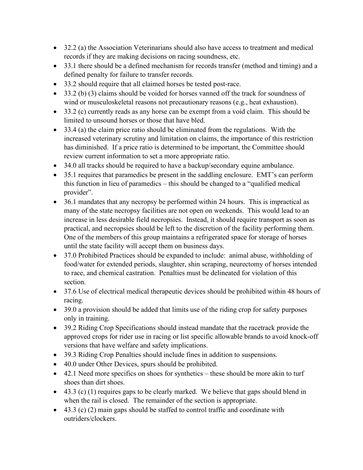- $\bullet$  32.2 (a) the Association Veterinarians should also have access to treatment and medical records if they are making decisions on racing soundness, etc.
- 33.1 there should be a defined mechanism for records transfer (method and timing) and a defined penalty for failure to transfer records.
- 33.2 should require that all claimed horses be tested post-race.
- $\bullet$  33.2 (b) (3) claims should be voided for horses vanned off the track for soundness of wind or musculoskeletal reasons not precautionary reasons (e.g., heat exhaustion).
- $\bullet$  33.2 (c) currently reads as any horse can be exempt from a void claim. This should be limited to unsound horses or those that have bled.
- $\bullet$  33.4 (a) the claim price ratio should be eliminated from the regulations. With the increased veterinary scrutiny and limitation on claims, the importance of this restriction has diminished. If a price ratio is determined to be important, the Committee should review current information to set a more appropriate ratio.
- 34.0 all tracks should be required to have a backup/secondary equine ambulance.
- $\bullet$  35.1 requires that paramedics be present in the saddling enclosure. EMT's can perform this function in lieu of paramedics  $-\theta$  this should be changed to a "qualified medical" provider".
- $\bullet$  36.1 mandates that any necropsy be performed within 24 hours. This is impractical as many of the state necropsy facilities are not open on weekends. This would lead to an increase in less desirable field necropsies. Instead, it should require transport as soon as practical, and necropsies should be left to the discretion of the facility performing them. One of the members of this group maintains a refrigerated space for storage of horses until the state facility will accept them on business days.
- 37.0 Prohibited Practices should be expanded to include: animal abuse, withholding of food/water for extended periods, slaughter, shin scraping, neurectomy of horses intended to race, and chemical castration. Penalties must be delineated for violation of this section.
- 37.6 Use of electrical medical therapeutic devices should be prohibited within 48 hours of racing.
- 39.0 a provision should be added that limits use of the riding crop for safety purposes only in training.
- 39.2 Riding Crop Specifications should instead mandate that the racetrack provide the approved crops for rider use in racing or list specific allowable brands to avoid knock-off versions that have welfare and safety implications.
- 39.3 Riding Crop Penalties should include fines in addition to suspensions.
- 40.0 under Other Devices, spurs should be prohibited.
- $\bullet$  42.1 Need more specifics on shoes for synthetics these should be more akin to turf shoes than dirt shoes.
- $\bullet$  43.3 (c) (1) requires gaps to be clearly marked. We believe that gaps should blend in when the rail is closed. The remainder of the section is appropriate.
- $\bullet$  43.3 (c) (2) main gaps should be staffed to control traffic and coordinate with outriders/clockers.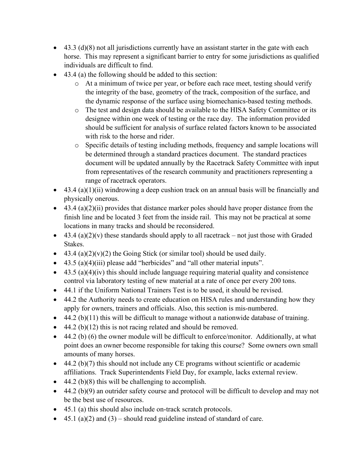- $\bullet$  43.3 (d)(8) not all jurisdictions currently have an assistant starter in the gate with each horse. This may represent a significant barrier to entry for some jurisdictions as qualified individuals are difficult to find.
- $\bullet$  43.4 (a) the following should be added to this section:
	- o At a minimum of twice per year, or before each race meet, testing should verify the integrity of the base, geometry of the track, composition of the surface, and the dynamic response of the surface using biomechanics-based testing methods.
	- o The test and design data should be available to the HISA Safety Committee or its designee within one week of testing or the race day. The information provided should be sufficient for analysis of surface related factors known to be associated with risk to the horse and rider.
	- o Specific details of testing including methods, frequency and sample locations will be determined through a standard practices document. The standard practices document will be updated annually by the Racetrack Safety Committee with input from representatives of the research community and practitioners representing a range of racetrack operators.
- $\bullet$  43.4 (a)(1)(ii) windrowing a deep cushion track on an annual basis will be financially and physically onerous.
- $\bullet$  43.4 (a)(2)(ii) provides that distance marker poles should have proper distance from the finish line and be located 3 feet from the inside rail. This may not be practical at some locations in many tracks and should be reconsidered.
- $\bullet$  43.4 (a)(2)(v) these standards should apply to all racetrack not just those with Graded Stakes.
- 43.4 (a)(2)(v)(2) the Going Stick (or similar tool) should be used daily.
- $\bullet$  43.5 (a)(4)(iii) please add "herbicides" and "all other material inputs".
- $\bullet$  43.5 (a)(4)(iv) this should include language requiring material quality and consistence control via laboratory testing of new material at a rate of once per every 200 tons.
- 44.1 if the Uniform National Trainers Test is to be used, it should be revised.
- 44.2 the Authority needs to create education on HISA rules and understanding how they apply for owners, trainers and officials. Also, this section is mis-numbered.
- $\bullet$  44.2 (b)(11) this will be difficult to manage without a nationwide database of training.
- $\bullet$  44.2 (b)(12) this is not racing related and should be removed.
- $\bullet$  44.2 (b) (6) the owner module will be difficult to enforce/monitor. Additionally, at what point does an owner become responsible for taking this course? Some owners own small amounts of many horses.
- $\bullet$  44.2 (b)(7) this should not include any CE programs without scientific or academic affiliations. Track Superintendents Field Day, for example, lacks external review.
- $\bullet$  44.2 (b)(8) this will be challenging to accomplish.
- $\bullet$  44.2 (b)(9) an outrider safety course and protocol will be difficult to develop and may not be the best use of resources.
- $\bullet$  45.1 (a) this should also include on-track scratch protocols.
- $\bullet$  45.1 (a)(2) and (3) should read guideline instead of standard of care.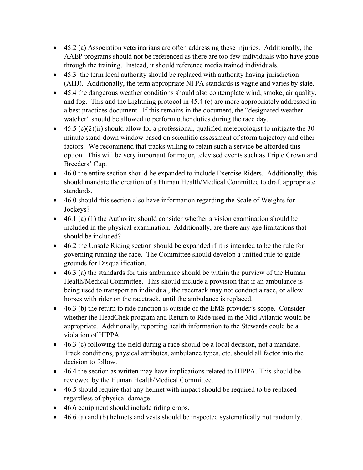- $\bullet$  45.2 (a) Association veterinarians are often addressing these injuries. Additionally, the AAEP programs should not be referenced as there are too few individuals who have gone through the training. Instead, it should reference media trained individuals.
- $\bullet$  45.3 the term local authority should be replaced with authority having jurisdiction (AHJ). Additionally, the term appropriate NFPA standards is vague and varies by state.
- $\bullet$  45.4 the dangerous weather conditions should also contemplate wind, smoke, air quality, and fog. This and the Lightning protocol in 45.4 (c) are more appropriately addressed in a best practices document. If this remains in the document, the "designated weather watcher" should be allowed to perform other duties during the race day.
- $\bullet$  45.5 (c)(2)(ii) should allow for a professional, qualified meteorologist to mitigate the 30minute stand-down window based on scientific assessment of storm trajectory and other factors. We recommend that tracks willing to retain such a service be afforded this option. This will be very important for major, televised events such as Triple Crown and Breeders' Cup.
- $\bullet$  46.0 the entire section should be expanded to include Exercise Riders. Additionally, this should mandate the creation of a Human Health/Medical Committee to draft appropriate standards.
- $\bullet$  46.0 should this section also have information regarding the Scale of Weights for Jockeys?
- $\bullet$  46.1 (a) (1) the Authority should consider whether a vision examination should be included in the physical examination. Additionally, are there any age limitations that should be included?
- $\bullet$  46.2 the Unsafe Riding section should be expanded if it is intended to be the rule for governing running the race. The Committee should develop a unified rule to guide grounds for Disqualification.
- $\bullet$  46.3 (a) the standards for this ambulance should be within the purview of the Human Health/Medical Committee. This should include a provision that if an ambulance is being used to transport an individual, the racetrack may not conduct a race, or allow horses with rider on the racetrack, until the ambulance is replaced.
- $\bullet$  46.3 (b) the return to ride function is outside of the EMS provider's scope. Consider whether the HeadChek program and Return to Ride used in the Mid-Atlantic would be appropriate. Additionally, reporting health information to the Stewards could be a violation of HIPPA.
- $\bullet$  46.3 (c) following the field during a race should be a local decision, not a mandate. Track conditions, physical attributes, ambulance types, etc. should all factor into the decision to follow.
- 46.4 the section as written may have implications related to HIPPA. This should be reviewed by the Human Health/Medical Committee.
- 46.5 should require that any helmet with impact should be required to be replaced regardless of physical damage.
- 46.6 equipment should include riding crops.
- $\bullet$  46.6 (a) and (b) helmets and vests should be inspected systematically not randomly.